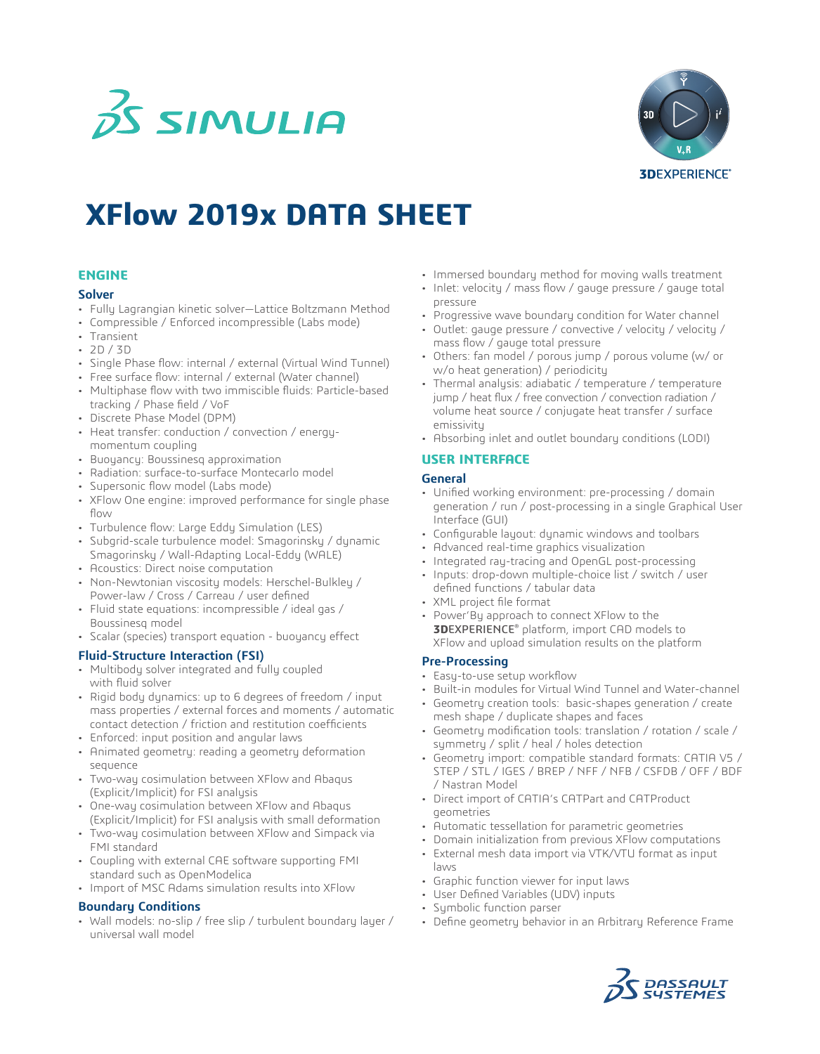



# **XFlow 2019x DATA SHEET**

#### **ENGINE**

#### **Solver**

- Fully Lagrangian kinetic solver—Lattice Boltzmann Method
- Compressible / Enforced incompressible (Labs mode)
- Transient
- 2D / 3D
- Single Phase flow: internal / external (Virtual Wind Tunnel)
- Free surface flow: internal / external (Water channel)
- Multiphase flow with two immiscible fluids: Particle-based tracking / Phase field / VoF
- Discrete Phase Model (DPM)
- Heat transfer: conduction / convection / energymomentum coupling
- Buoyancy: Boussinesq approximation
- Radiation: surface-to-surface Montecarlo model
- Supersonic flow model (Labs mode)
- XFlow One engine: improved performance for single phase flow
- Turbulence flow: Large Eddy Simulation (LES)
- Subgrid-scale turbulence model: Smagorinsky / dynamic Smagorinsky / Wall-Adapting Local-Eddy (WALE)
- Acoustics: Direct noise computation
- Non-Newtonian viscosity models: Herschel-Bulkley / Power-law / Cross / Carreau / user defined
- Fluid state equations: incompressible / ideal gas / Boussinesq model
- Scalar (species) transport equation buoyancy effect

#### **Fluid-Structure Interaction (FSI)**

- Multibody solver integrated and fully coupled with fluid solver
- Rigid body dynamics: up to 6 degrees of freedom / input mass properties / external forces and moments / automatic contact detection / friction and restitution coefficients
- Enforced: input position and angular laws
- Animated geometry: reading a geometry deformation sequence
- Two-way cosimulation between XFlow and Abaqus (Explicit/Implicit) for FSI analysis
- One-way cosimulation between XFlow and Abaqus (Explicit/Implicit) for FSI analysis with small deformation
- Two-way cosimulation between XFlow and Simpack via FMI standard
- Coupling with external CAE software supporting FMI standard such as OpenModelica
- Import of MSC Adams simulation results into XFlow

#### **Boundary Conditions**

• Wall models: no-slip / free slip / turbulent boundary layer / universal wall model

- Immersed boundary method for moving walls treatment
- Inlet: velocity / mass flow / gauge pressure / gauge total pressure
- Progressive wave boundary condition for Water channel
- Outlet: gauge pressure / convective / velocity / velocity / mass flow / gauge total pressure
- Others: fan model / porous jump / porous volume (w/ or w/o heat generation) / periodicity
- Thermal analysis: adiabatic / temperature / temperature jump / heat flux / free convection / convection radiation / volume heat source / conjugate heat transfer / surface emissivity
- Absorbing inlet and outlet boundary conditions (LODI)

#### **USER INTERFACE**

#### **General**

- Unified working environment: pre-processing / domain generation / run / post-processing in a single Graphical User Interface (GUI)
- Configurable layout: dynamic windows and toolbars
- Advanced real-time graphics visualization
- Integrated ray-tracing and OpenGL post-processing
- Inputs: drop-down multiple-choice list / switch / user defined functions / tabular data
- XML project file format
- Power'By approach to connect XFlow to the **3D**EXPERIENCE® platform, import CAD models to XFlow and upload simulation results on the platform

#### **Pre-Processing**

- Easy-to-use setup workflow
- Built-in modules for Virtual Wind Tunnel and Water-channel
- Geometry creation tools: basic-shapes generation / create mesh shape / duplicate shapes and faces
- Geometry modification tools: translation / rotation / scale / symmetry / split / heal / holes detection
- Geometry import: compatible standard formats: CATIA V5 / STEP / STL / IGES / BREP / NFF / NFB / CSFDB / OFF / BDF / Nastran Model
- Direct import of CATIA's CATPart and CATProduct geometries
- Automatic tessellation for parametric geometries
- Domain initialization from previous XFlow computations
- External mesh data import via VTK/VTU format as input laws
- Graphic function viewer for input laws
- User Defined Variables (UDV) inputs
- Symbolic function parser
- Define geometry behavior in an Arbitrary Reference Frame